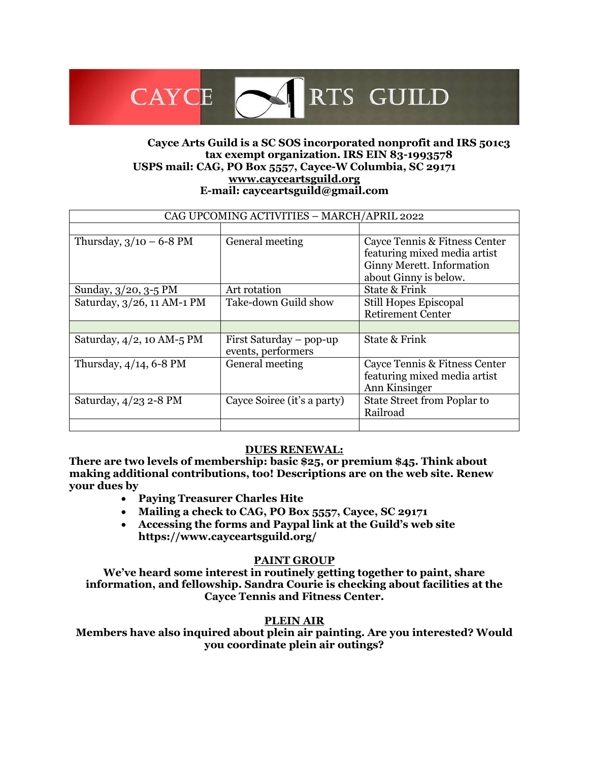## **Cayce Arts Guild is a SC SOS incorporated nonprofit and IRS 501c3 tax exempt organization. IRS EIN 83-1993578 USPS mail: CAG, PO Box 5557, Cayce-W Columbia, SC 29171 [www.cayceartsguild.org](http://www.cayceartsguild.org/) E-mail: cayceartsguild@gmail.com**

RTS GUILD

| CAG UPCOMING ACTIVITIES - MARCH/APRIL 2022 |                                               |                                                                                                                     |
|--------------------------------------------|-----------------------------------------------|---------------------------------------------------------------------------------------------------------------------|
|                                            |                                               |                                                                                                                     |
| Thursday, $3/10 - 6-8$ PM                  | General meeting                               | Cayce Tennis & Fitness Center<br>featuring mixed media artist<br>Ginny Merett. Information<br>about Ginny is below. |
| Sunday, 3/20, 3-5 PM                       | Art rotation                                  | State & Frink                                                                                                       |
| Saturday, 3/26, 11 AM-1 PM                 | Take-down Guild show                          | Still Hopes Episcopal<br><b>Retirement Center</b>                                                                   |
|                                            |                                               |                                                                                                                     |
| Saturday, 4/2, 10 AM-5 PM                  | First Saturday – pop-up<br>events, performers | State & Frink                                                                                                       |
| Thursday, 4/14, 6-8 PM                     | General meeting                               | Cayce Tennis & Fitness Center<br>featuring mixed media artist<br>Ann Kinsinger                                      |
| Saturday, $4/23$ 2-8 PM                    | Cayce Soiree (it's a party)                   | State Street from Poplar to<br>Railroad                                                                             |
|                                            |                                               |                                                                                                                     |

#### **DUES RENEWAL:**

**There are two levels of membership: basic \$25, or premium \$45. Think about making additional contributions, too! Descriptions are on the web site. Renew your dues by**

• **Paying Treasurer Charles Hite**

CAYCE <

- **Mailing a check to CAG, PO Box 5557, Cayce, SC 29171**
- **Accessing the forms and Paypal link at the Guild's web site https://www.cayceartsguild.org/**

#### **PAINT GROUP**

**We've heard some interest in routinely getting together to paint, share information, and fellowship. Sandra Courie is checking about facilities at the Cayce Tennis and Fitness Center.**

#### **PLEIN AIR**

**Members have also inquired about plein air painting. Are you interested? Would you coordinate plein air outings?**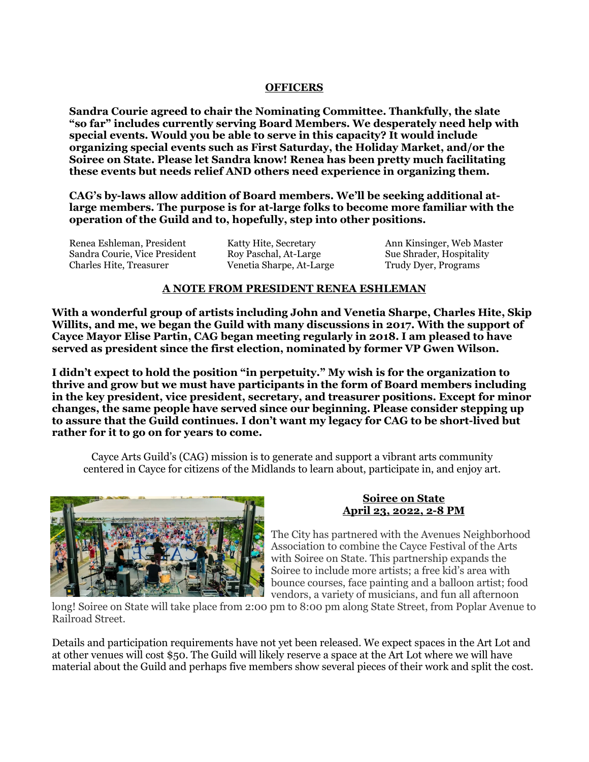#### **OFFICERS**

**Sandra Courie agreed to chair the Nominating Committee. Thankfully, the slate "so far" includes currently serving Board Members. We desperately need help with special events. Would you be able to serve in this capacity? It would include organizing special events such as First Saturday, the Holiday Market, and/or the Soiree on State. Please let Sandra know! Renea has been pretty much facilitating these events but needs relief AND others need experience in organizing them.**

**CAG's by-laws allow addition of Board members. We'll be seeking additional atlarge members. The purpose is for at-large folks to become more familiar with the operation of the Guild and to, hopefully, step into other positions.**

Renea Eshleman, President Sandra Courie, Vice President Charles Hite, Treasurer

Katty Hite, Secretary Roy Paschal, At-Large Venetia Sharpe, At-Large Ann Kinsinger, Web Master Sue Shrader, Hospitality Trudy Dyer, Programs

#### **A NOTE FROM PRESIDENT RENEA ESHLEMAN**

**With a wonderful group of artists including John and Venetia Sharpe, Charles Hite, Skip Willits, and me, we began the Guild with many discussions in 2017. With the support of Cayce Mayor Elise Partin, CAG began meeting regularly in 2018. I am pleased to have served as president since the first election, nominated by former VP Gwen Wilson.** 

**I didn't expect to hold the position "in perpetuity." My wish is for the organization to thrive and grow but we must have participants in the form of Board members including in the key president, vice president, secretary, and treasurer positions. Except for minor changes, the same people have served since our beginning. Please consider stepping up to assure that the Guild continues. I don't want my legacy for CAG to be short-lived but rather for it to go on for years to come.** 

Cayce Arts Guild's (CAG) mission is to generate and support a vibrant arts community centered in Cayce for citizens of the Midlands to learn about, participate in, and enjoy art.



#### **Soiree on State April 23, 2022, 2-8 PM**

The City has partnered with the Avenues Neighborhood Association to combine the Cayce Festival of the Arts with Soiree on State. This partnership expands the Soiree to include more artists; a free kid's area with bounce courses, face painting and a balloon artist; food vendors, a variety of musicians, and fun all afternoon

long! Soiree on State will take place from 2:00 pm to 8:00 pm along State Street, from Poplar Avenue to Railroad Street.

Details and participation requirements have not yet been released. We expect spaces in the Art Lot and at other venues will cost \$50. The Guild will likely reserve a space at the Art Lot where we will have material about the Guild and perhaps five members show several pieces of their work and split the cost.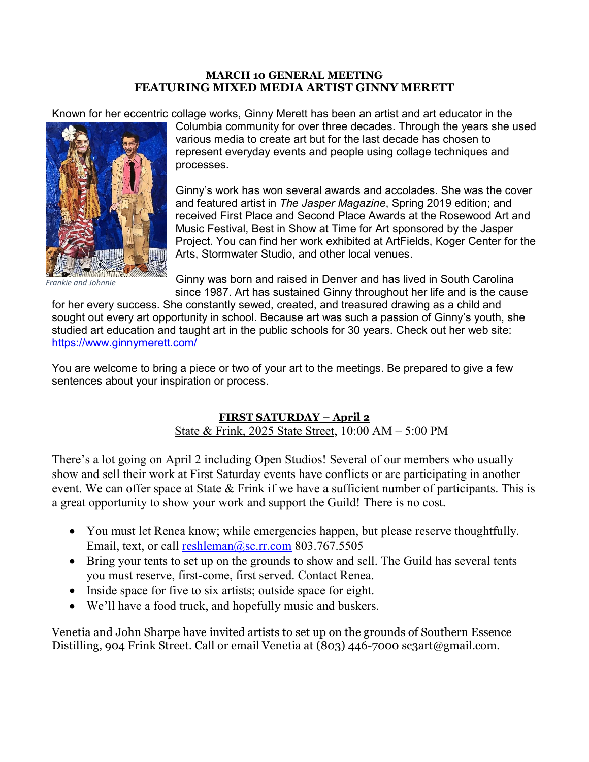### **MARCH 10 GENERAL MEETING FEATURING MIXED MEDIA ARTIST GINNY MERETT**

Known for her eccentric collage works, Ginny Merett has been an artist and art educator in the



*Frankie and Johnnie* 

Columbia community for over three decades. Through the years she used various media to create art but for the last decade has chosen to represent everyday events and people using collage techniques and processes.

Ginny's work has won several awards and accolades. She was the cover and featured artist in *The Jasper Magazine*, Spring 2019 edition; and received First Place and Second Place Awards at the Rosewood Art and Music Festival, Best in Show at Time for Art sponsored by the Jasper Project. You can find her work exhibited at ArtFields, Koger Center for the Arts, Stormwater Studio, and other local venues.

Ginny was born and raised in Denver and has lived in South Carolina since 1987. Art has sustained Ginny throughout her life and is the cause

for her every success. She constantly sewed, created, and treasured drawing as a child and sought out every art opportunity in school. Because art was such a passion of Ginny's youth, she studied art education and taught art in the public schools for 30 years. Check out her web site: <https://www.ginnymerett.com/>

You are welcome to bring a piece or two of your art to the meetings. Be prepared to give a few sentences about your inspiration or process.

# **FIRST SATURDAY – April 2**

State & Frink, 2025 State Street, 10:00 AM – 5:00 PM

There's a lot going on April 2 including Open Studios! Several of our members who usually show and sell their work at First Saturday events have conflicts or are participating in another event. We can offer space at State & Frink if we have a sufficient number of participants. This is a great opportunity to show your work and support the Guild! There is no cost.

- You must let Renea know; while emergencies happen, but please reserve thoughtfully. Email, text, or call [reshleman@sc.rr.com](mailto:reshleman@sc.rr.com) 803.767.5505
- Bring your tents to set up on the grounds to show and sell. The Guild has several tents you must reserve, first-come, first served. Contact Renea.
- Inside space for five to six artists; outside space for eight.
- We'll have a food truck, and hopefully music and buskers.

Venetia and John Sharpe have invited artists to set up on the grounds of Southern Essence Distilling, 904 Frink Street. Call or email Venetia at (803) 446-7000 sc3art@gmail.com.